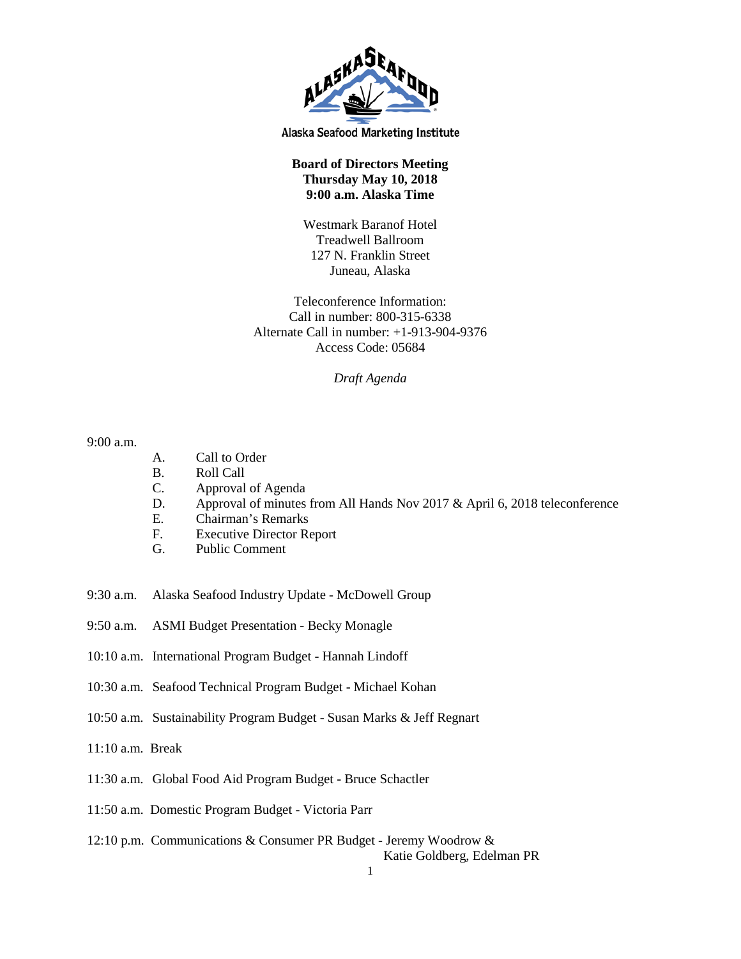

Alaska Seafood Marketing Institute

## **Board of Directors Meeting Thursday May 10, 2018 9:00 a.m. Alaska Time**

Westmark Baranof Hotel Treadwell Ballroom 127 N. Franklin Street Juneau, Alaska

Teleconference Information: Call in number: 800-315-6338 Alternate Call in number: +1-913-904-9376 Access Code: 05684

*Draft Agenda*

9:00 a.m.

- A. Call to Order
- B. Roll Call
- C. Approval of Agenda
- D. Approval of minutes from All Hands Nov 2017 & April 6, 2018 teleconference
- E. Chairman's Remarks
- F. Executive Director Report
- G. Public Comment
- 9:30 a.m. Alaska Seafood Industry Update McDowell Group
- 9:50 a.m. ASMI Budget Presentation Becky Monagle
- 10:10 a.m. International Program Budget Hannah Lindoff
- 10:30 a.m. Seafood Technical Program Budget Michael Kohan
- 10:50 a.m. Sustainability Program Budget Susan Marks & Jeff Regnart
- 11:10 a.m. Break
- 11:30 a.m. Global Food Aid Program Budget Bruce Schactler
- 11:50 a.m. Domestic Program Budget Victoria Parr
- 12:10 p.m. Communications & Consumer PR Budget Jeremy Woodrow &

Katie Goldberg, Edelman PR